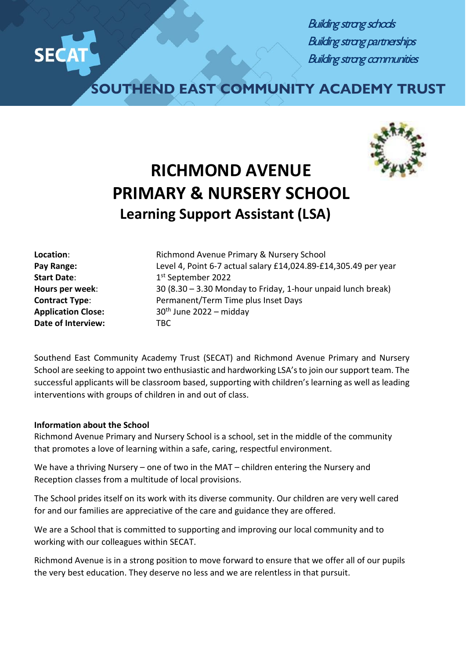$x \rightarrow 0$ 

**Building strong schools** Building strong partnerships Building strong communities

**SOUTHEND EAST COMMUNITY ACADEMY TRUST**



## **RICHMOND AVENUE PRIMARY & NURSERY SCHOOL Learning Support Assistant (LSA)**

**Date of Interview:** TBC

**Location:** Richmond Avenue Primary & Nursery School **Pay Range:** Level 4, Point 6-7 actual salary £14,024.89-£14,305.49 per year **Start Date:** 1st September 2022 **Hours per week**: 30 (8.30 – 3.30 Monday to Friday, 1-hour unpaid lunch break) **Contract Type**: Permanent/Term Time plus Inset Days **Application Close:** 30th June 2022 – midday

Southend East Community Academy Trust (SECAT) and Richmond Avenue Primary and Nursery School are seeking to appoint two enthusiastic and hardworking LSA'sto join our support team. The successful applicants will be classroom based, supporting with children's learning as well as leading interventions with groups of children in and out of class.

## **Information about the School**

Richmond Avenue Primary and Nursery School is a school, set in the middle of the community that promotes a love of learning within a safe, caring, respectful environment.

We have a thriving Nursery – one of two in the MAT – children entering the Nursery and Reception classes from a multitude of local provisions.

The School prides itself on its work with its diverse community. Our children are very well cared for and our families are appreciative of the care and guidance they are offered.

We are a School that is committed to supporting and improving our local community and to working with our colleagues within SECAT.

Richmond Avenue is in a strong position to move forward to ensure that we offer all of our pupils the very best education. They deserve no less and we are relentless in that pursuit.